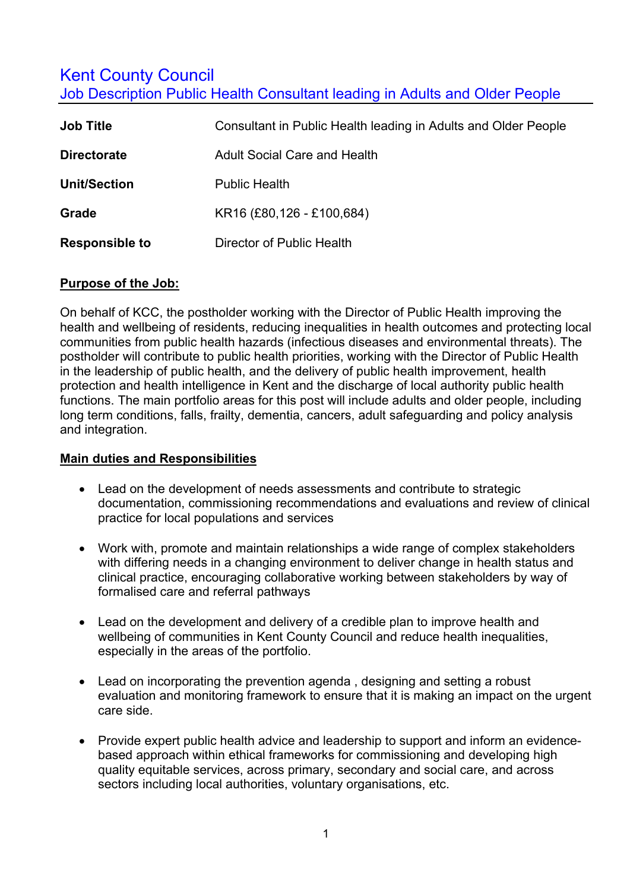# **Kent County Council**

Job Description Public Health Consultant leading in Adults and Older People

| <b>Job Title</b>      | Consultant in Public Health leading in Adults and Older People |  |
|-----------------------|----------------------------------------------------------------|--|
| <b>Directorate</b>    | <b>Adult Social Care and Health</b>                            |  |
| <b>Unit/Section</b>   | <b>Public Health</b>                                           |  |
| Grade                 | KR16 (£80,126 - £100,684)                                      |  |
| <b>Responsible to</b> | Director of Public Health                                      |  |

#### **Purpose of the Job:**

On behalf of KCC, the postholder working with the Director of Public Health improving the health and wellbeing of residents, reducing inequalities in health outcomes and protecting local communities from public health hazards (infectious diseases and environmental threats). The postholder will contribute to public health priorities, working with the Director of Public Health in the leadership of public health, and the delivery of public health improvement, health protection and health intelligence in Kent and the discharge of local authority public health functions. The main portfolio areas for this post will include adults and older people, including long term conditions, falls, frailty, dementia, cancers, adult safeguarding and policy analysis and integration.

#### **Main duties and Responsibilities**

- Lead on the development of needs assessments and contribute to strategic documentation, commissioning recommendations and evaluations and review of clinical practice for local populations and services
- Work with, promote and maintain relationships a wide range of complex stakeholders with differing needs in a changing environment to deliver change in health status and clinical practice, encouraging collaborative working between stakeholders by way of formalised care and referral pathways
- Lead on the development and delivery of a credible plan to improve health and wellbeing of communities in Kent County Council and reduce health inequalities, especially in the areas of the portfolio.
- Lead on incorporating the prevention agenda , designing and setting a robust evaluation and monitoring framework to ensure that it is making an impact on the urgent care side.
- Provide expert public health advice and leadership to support and inform an evidencebased approach within ethical frameworks for commissioning and developing high quality equitable services, across primary, secondary and social care, and across sectors including local authorities, voluntary organisations, etc.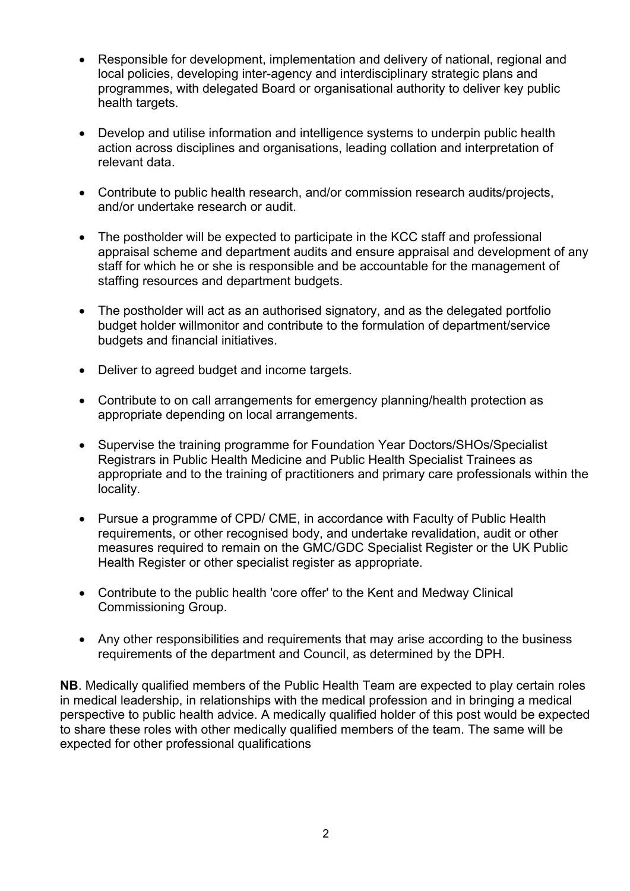- Responsible for development, implementation and delivery of national, regional and<br>local policies, developing inter-agency and interdisciplinary strategic plans and<br>programmes, with delegated Board or organisational auth programmes, with delegated Board or organisational authority to deliver key public health targets.
	- Develop and utilise information and intelligence systems to underpin public health action across disciplines and organisations, leading collation and interpretation of relevant data.
	- Contribute to public health research, and/or commission research audits/projects, and/or undertake research or audit.
	- The postholder will be expected to participate in the KCC staff and professional appraisal scheme and department audits and ensure appraisal and development of any staff for which he or she is responsible and be accountable for the management of staffing resources and department budgets.
	- The postholder will act as an authorised signatory, and as the delegated portfolio budget holder willmonitor and contribute to the formulation of department/service budgets and financial initiatives.
	- Deliver to agreed budget and income targets.
	- Contribute to on call arrangements for emergency planning/health protection as appropriate depending on local arrangements.
	- Supervise the training programme for Foundation Year Doctors/SHOs/Specialist Registrars in Public Health Medicine and Public Health Specialist Trainees as appropriate and to the training of practitioners and primary care professionals within the locality.
	- Pursue a programme of CPD/ CME, in accordance with Faculty of Public Health requirements, or other recognised body, and undertake revalidation, audit or other measures required to remain on the GMC/GDC Specialist Register or the UK Public Health Register or other specialist register as appropriate.
	- Contribute to the public health 'core offer' to the Kent and Medway Clinical Commissioning Group.
	- Any other responsibilities and requirements that may arise according to the business requirements of the department and Council, as determined by the DPH.

**NB**. Medically qualified members of the Public Health Team are expected to play certain roles in medical leadership, in relationships with the medical profession and in bringing a medical perspective to public health advice. A medically qualified holder of this post would be expected to share these roles with other medically qualified members of the team. The same will be expected for other professional qualifications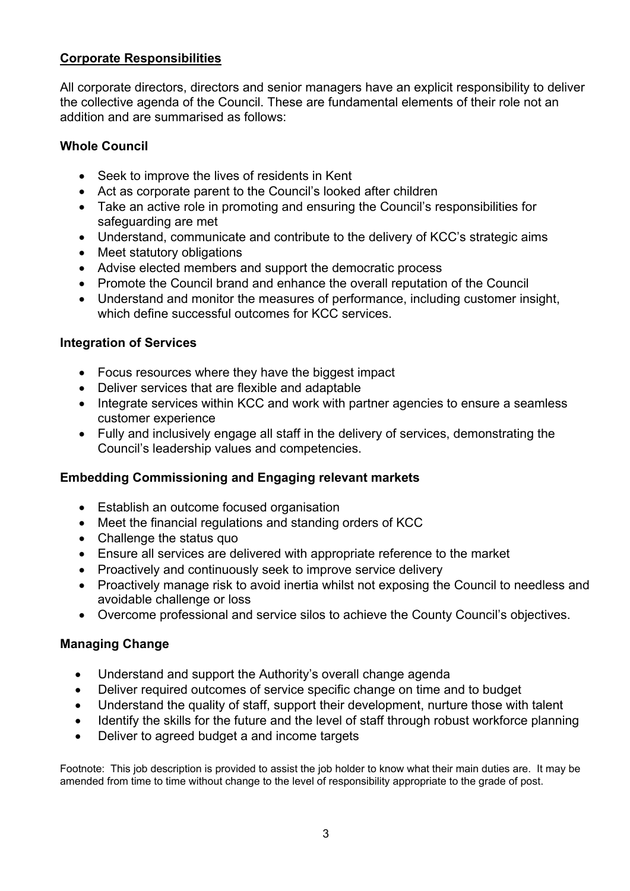### **Corporate Responsibilities**

All corporate directors, directors and senior managers have an explicit responsibility to deliver the collective agenda of the Council. These are fundamental elements of their role not an addition and are summarised as follows:

## **Whole Council**

- Seek to improve the lives of residents in Kent
- Act as corporate parent to the Council's looked after children
- Take an active role in promoting and ensuring the Council's responsibilities for safeguarding are met
- Understand, communicate and contribute to the delivery of KCC's strategic aims
- Meet statutory obligations
- Advise elected members and support the democratic process
- Promote the Council brand and enhance the overall reputation of the Council
- Understand and monitor the measures of performance, including customer insight, which define successful outcomes for KCC services.

## **Integration of Services**

- Focus resources where they have the biggest impact
- Deliver services that are flexible and adaptable
- Integrate services within KCC and work with partner agencies to ensure a seamless customer experience
- Fully and inclusively engage all staff in the delivery of services, demonstrating the Council's leadership values and competencies.

## **Embedding Commissioning and Engaging relevant markets**

- Establish an outcome focused organisation
- Meet the financial regulations and standing orders of KCC
- Challenge the status quo
- Ensure all services are delivered with appropriate reference to the market
- Proactively and continuously seek to improve service delivery
- Proactively manage risk to avoid inertia whilst not exposing the Council to needless and avoidable challenge or loss
- Overcome professional and service silos to achieve the County Council's objectives.

## **Managing Change**

- Understand and support the Authority's overall change agenda
- Deliver required outcomes of service specific change on time and to budget
- Understand the quality of staff, support their development, nurture those with talent
- Identify the skills for the future and the level of staff through robust workforce planning
- Deliver to agreed budget a and income targets

Footnote: This job description is provided to assist the job holder to know what their main duties are. It may be amended from time to time without change to the level of responsibility appropriate to the grade of post.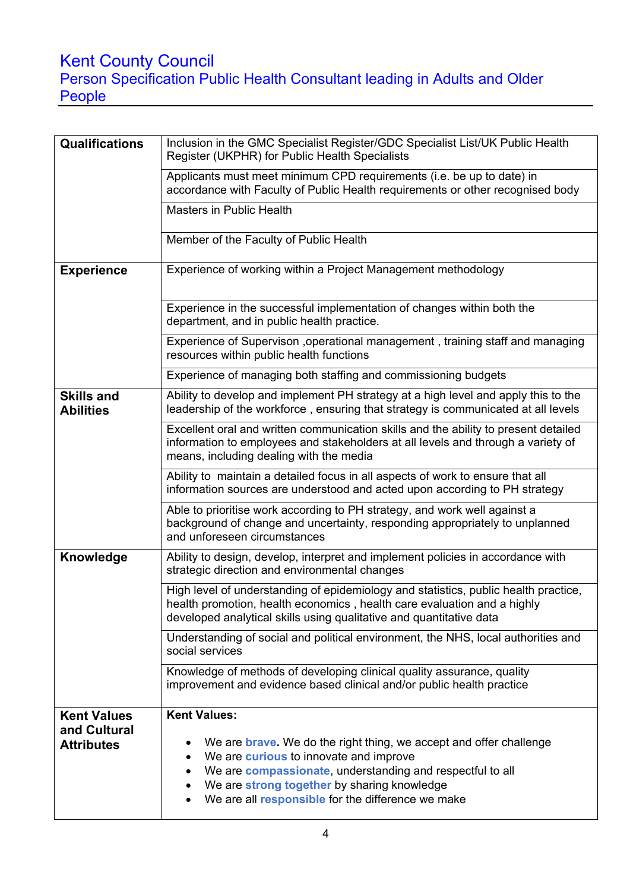# Kent County Council

Person Specifica Person Specification Public Health Consultant leading in Adults and Older People

| <b>Qualifications</b>                                   | Inclusion in the GMC Specialist Register/GDC Specialist List/UK Public Health<br>Register (UKPHR) for Public Health Specialists                                                                                                                                                                                                 |  |  |
|---------------------------------------------------------|---------------------------------------------------------------------------------------------------------------------------------------------------------------------------------------------------------------------------------------------------------------------------------------------------------------------------------|--|--|
|                                                         | Applicants must meet minimum CPD requirements (i.e. be up to date) in<br>accordance with Faculty of Public Health requirements or other recognised body                                                                                                                                                                         |  |  |
|                                                         | Masters in Public Health                                                                                                                                                                                                                                                                                                        |  |  |
|                                                         | Member of the Faculty of Public Health                                                                                                                                                                                                                                                                                          |  |  |
| <b>Experience</b>                                       | Experience of working within a Project Management methodology                                                                                                                                                                                                                                                                   |  |  |
|                                                         | Experience in the successful implementation of changes within both the<br>department, and in public health practice.                                                                                                                                                                                                            |  |  |
|                                                         | Experience of Supervison , operational management, training staff and managing<br>resources within public health functions                                                                                                                                                                                                      |  |  |
|                                                         | Experience of managing both staffing and commissioning budgets                                                                                                                                                                                                                                                                  |  |  |
| <b>Skills and</b><br><b>Abilities</b>                   | Ability to develop and implement PH strategy at a high level and apply this to the<br>leadership of the workforce, ensuring that strategy is communicated at all levels                                                                                                                                                         |  |  |
|                                                         | Excellent oral and written communication skills and the ability to present detailed<br>information to employees and stakeholders at all levels and through a variety of<br>means, including dealing with the media                                                                                                              |  |  |
|                                                         | Ability to maintain a detailed focus in all aspects of work to ensure that all<br>information sources are understood and acted upon according to PH strategy                                                                                                                                                                    |  |  |
|                                                         | Able to prioritise work according to PH strategy, and work well against a<br>background of change and uncertainty, responding appropriately to unplanned<br>and unforeseen circumstances                                                                                                                                        |  |  |
| Knowledge                                               | Ability to design, develop, interpret and implement policies in accordance with<br>strategic direction and environmental changes                                                                                                                                                                                                |  |  |
|                                                         | High level of understanding of epidemiology and statistics, public health practice,<br>health promotion, health economics, health care evaluation and a highly<br>developed analytical skills using qualitative and quantitative data                                                                                           |  |  |
|                                                         | Understanding of social and political environment, the NHS, local authorities and<br>social services                                                                                                                                                                                                                            |  |  |
|                                                         | Knowledge of methods of developing clinical quality assurance, quality<br>improvement and evidence based clinical and/or public health practice                                                                                                                                                                                 |  |  |
| <b>Kent Values</b><br>and Cultural<br><b>Attributes</b> | <b>Kent Values:</b><br>We are <b>brave.</b> We do the right thing, we accept and offer challenge<br>We are <b>curious</b> to innovate and improve<br>$\bullet$<br>We are compassionate, understanding and respectful to all<br>We are strong together by sharing knowledge<br>We are all responsible for the difference we make |  |  |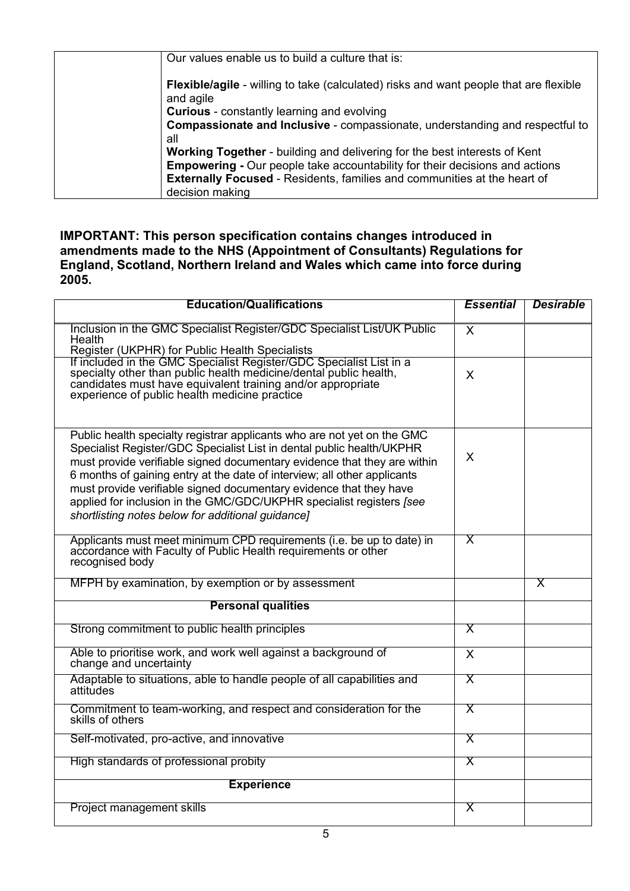| Our values enable us to build a culture that is:                                                          |
|-----------------------------------------------------------------------------------------------------------|
| <b>Flexible/agile</b> - willing to take (calculated) risks and want people that are flexible<br>and agile |
| <b>Curious</b> - constantly learning and evolving                                                         |
| <b>Compassionate and Inclusive - compassionate, understanding and respectful to</b>                       |
| all                                                                                                       |
| Working Together - building and delivering for the best interests of Kent                                 |
| <b>Empowering - Our people take accountability for their decisions and actions</b>                        |
| <b>Externally Focused - Residents, families and communities at the heart of</b>                           |
| decision making                                                                                           |

#### **IMPORTANT: This person specification contains changes introduced in amendments made to the NHS (Appointment of Consultants) Regulations for England, Scotland, Northern Ireland and Wales which came into force during 2005.**

| <b>Education/Qualifications</b>                                                                                                                                                                                                                                                                                                                                                                                                                                                                             | <b>Essential</b>        | <b>Desirable</b> |
|-------------------------------------------------------------------------------------------------------------------------------------------------------------------------------------------------------------------------------------------------------------------------------------------------------------------------------------------------------------------------------------------------------------------------------------------------------------------------------------------------------------|-------------------------|------------------|
| Inclusion in the GMC Specialist Register/GDC Specialist List/UK Public<br>Health<br>Register (UKPHR) for Public Health Specialists                                                                                                                                                                                                                                                                                                                                                                          | $\sf X$                 |                  |
| If included in the GMC Specialist Register/GDC Specialist List in a specialty other than public health medicine/dental public health, candidates must have equivalent training and/or appropriate experience of public health                                                                                                                                                                                                                                                                               | X                       |                  |
| Public health specialty registrar applicants who are not yet on the GMC<br>Specialist Register/GDC Specialist List in dental public health/UKPHR<br>must provide verifiable signed documentary evidence that they are within<br>6 months of gaining entry at the date of interview; all other applicants<br>must provide verifiable signed documentary evidence that they have<br>applied for inclusion in the GMC/GDC/UKPHR specialist registers [see<br>shortlisting notes below for additional guidance] | X                       |                  |
| Applicants must meet minimum CPD requirements (i.e. be up to date) in<br>accordance with Faculty of Public Health requirements or other<br>recognised body                                                                                                                                                                                                                                                                                                                                                  | $\overline{\mathsf{X}}$ |                  |
| MFPH by examination, by exemption or by assessment                                                                                                                                                                                                                                                                                                                                                                                                                                                          |                         | X                |
| <b>Personal qualities</b>                                                                                                                                                                                                                                                                                                                                                                                                                                                                                   |                         |                  |
| Strong commitment to public health principles                                                                                                                                                                                                                                                                                                                                                                                                                                                               | $\overline{\mathsf{X}}$ |                  |
| Able to prioritise work, and work well against a background of<br>change and uncertainty                                                                                                                                                                                                                                                                                                                                                                                                                    | $\sf X$                 |                  |
| Adaptable to situations, able to handle people of all capabilities and<br>attitudes                                                                                                                                                                                                                                                                                                                                                                                                                         | X                       |                  |
| Commitment to team-working, and respect and consideration for the<br>skills of others                                                                                                                                                                                                                                                                                                                                                                                                                       | $\overline{\mathsf{X}}$ |                  |
| Self-motivated, pro-active, and innovative                                                                                                                                                                                                                                                                                                                                                                                                                                                                  | Χ                       |                  |
| High standards of professional probity                                                                                                                                                                                                                                                                                                                                                                                                                                                                      | $\overline{\mathsf{X}}$ |                  |
| <b>Experience</b>                                                                                                                                                                                                                                                                                                                                                                                                                                                                                           |                         |                  |
| Project management skills                                                                                                                                                                                                                                                                                                                                                                                                                                                                                   | X                       |                  |